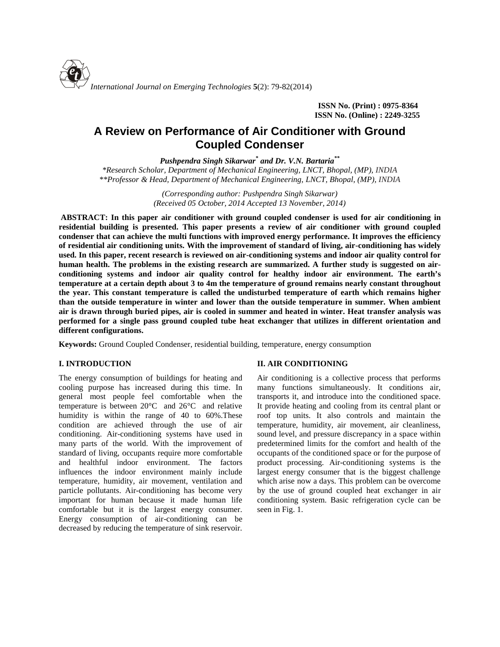

**ISSN No. (Print) : 0975-8364 ISSN No. (Online) : 2249-3255**

# **A Review on Performance of Air Conditioner with Ground Coupled Condenser**

*Pushpendra Singh Sikarwar\* and Dr. V.N. Bartaria\*\**

*\*Research Scholar, Department of Mechanical Engineering, LNCT, Bhopal, (MP), INDIA \*\*Professor & Head, Department of Mechanical Engineering, LNCT, Bhopal, (MP), INDIA*

> *(Corresponding author: Pushpendra Singh Sikarwar) (Received 05 October, 2014 Accepted 13 November, 2014)*

**ABSTRACT: In this paper air conditioner with ground coupled condenser is used for air conditioning in residential building is presented. This paper presents a review of air conditioner with ground coupled condenser that can achieve the multi functions with improved energy performance. It improves the efficiency of residential air conditioning units. With the improvement of standard of living, air-conditioning has widely used. In this paper, recent research is reviewed on air-conditioning systems and indoor air quality control for human health. The problems in the existing research are summarized. A further study is suggested on air conditioning systems and indoor air quality control for healthy indoor air environment. The earth's temperature at a certain depth about 3 to 4m the temperature of ground remains nearly constant throughout the year. This constant temperature is called the undisturbed temperature of earth which remains higher than the outside temperature in winter and lower than the outside temperature in summer. When ambient air is drawn through buried pipes, air is cooled in summer and heated in winter. Heat transfer analysis was performed for a single pass ground coupled tube heat exchanger that utilizes in different orientation and different configurations.**

**Keywords:** Ground Coupled Condenser, residential building, temperature, energy consumption

# **I. INTRODUCTION**

The energy consumption of buildings for heating and cooling purpose has increased during this time. In general most people feel comfortable when the temperature is between 20°C and 26°C and relative humidity is within the range of 40 to 60%.These condition are achieved through the use of air conditioning. Air-conditioning systems have used in many parts of the world. With the improvement of standard of living, occupants require more comfortable and healthful indoor environment. The factors influences the indoor environment mainly include temperature, humidity, air movement, ventilation and particle pollutants. Air-conditioning has become very important for human because it made human life comfortable but it is the largest energy consumer. Energy consumption of air-conditioning can be decreased by reducing the temperature of sink reservoir.

# **II. AIR CONDITIONING**

Air conditioning is a collective process that performs many functions simultaneously. It conditions air, transports it, and introduce into the conditioned space. It provide heating and cooling from its central plant or roof top units. It also controls and maintain the temperature, humidity, air movement, air cleanliness, sound level, and pressure discrepancy in a space within predetermined limits for the comfort and health of the occupants of the conditioned space or for the purpose of product processing. Air-conditioning systems is the largest energy consumer that is the biggest challenge which arise now a days. This problem can be overcome by the use of ground coupled heat exchanger in air conditioning system. Basic refrigeration cycle can be seen in Fig.1.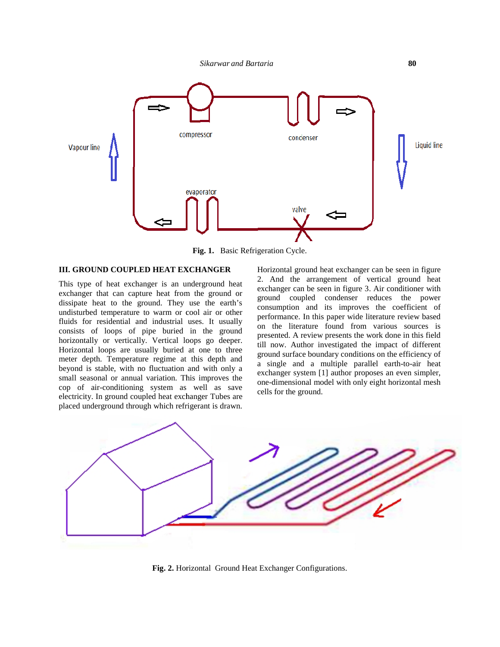

**Fig. 1.** Basic Refrigeration Cycle.

#### **III. GROUND COUPLED HEAT EXCHANGER** Horiz

This type of heat exchanger is an underground heat This type of heat exchanger is an underground heat  $\frac{2}{e}$ <br>exchanger that can capture heat from the ground or dissipate heat to the ground. They use the earth's  $\frac{54}{20}$ undisturbed temperature to warm or cool air or other undisturbed temperature to warm or cool air or other performation of the state of the state of the performation of the state of the state of the state of the state of the state of the state of the state of the state of th consists of loops of pipe buried in the ground horizontally or vertically. Vertical loops go deeper. Horizontal loops are usually buried at one to three meter depth. Temperature regime at this depth and  $\frac{\epsilon^{10}a}{\epsilon^{10}}$ beyond is stable, with no fluctuation and with only a small seasonal or annual variation. This improves the cop of air-conditioning system as well as save electricity. In ground coupled heat exchanger Tubes are placed underground through which refrigerant is drawn. Ionizative or vertically. Vertical loops go deeper.<br>
Intal loops are usually buried at one to three<br>
depth. Temperature regime at this depth and<br>
is stable, with no fluctuation and with only a<br>
easonal or annual variation.

Horizontal ground heat exchanger can be seen in figure 2. And the arrangement of vertical ground heat exchanger can be seen in figure 3. Air conditioner with ground coupled condenser reduces the power consumption and its improves the coefficient of performance. In this paper wide literature review based on the literature found from various sources is presented. A review presents the work done in this field till now. Author investigated the impact of different ground surface boundary conditions on the efficiency of a single and a multiple parallel earth-to-air heat exchanger system [1] author proposes an even simpler, one-dimensional model with only eight horizontal mesh cells for the ground. ground coupled condenser reduces the power<br>consumption and its improves the coefficient of<br>performance. In this paper wide literature review based<br>on the literature found from various sources is<br>presented. A review present



**Fig. 2.** Horizontal Ground Heat Exchanger Configurations.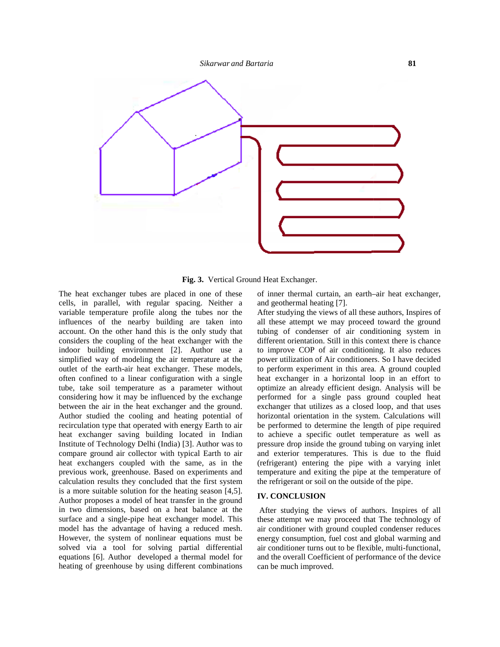

**Fig. 3.** Vertical Ground Heat Exchanger.

The heat exchanger tubes are placed in one of these cells, in parallel, with regular spacing. Neither a variable temperature profile along the tubes nor the influences of the nearby building are taken into account. On the other hand this is the only study that considers the coupling of the heat exchanger with the indoor building environment [2]. Author use a simplified way of modeling the air temperature at the outlet of the earth-air heat exchanger. These models, often confined to a linear configuration with a single tube, take soil temperature as a parameter without considering how it may be influenced by the exchange between the air in the heat exchanger and the ground. Author studied the cooling and heating potential of recirculation type that operated with energy Earth to air heat exchanger saving building located in Indian Institute of Technology Delhi (India) [3]. Author was to compare ground air collector with typical Earth to air heat exchangers coupled with the same, as in the previous work, greenhouse. Based on experiments and calculation results they concluded that the first system is a more suitable solution for the heating season [4,5]. Author proposes a model of heat transfer in the ground in two dimensions, based on a heat balance at the surface and a single-pipe heat exchanger model. This model has the advantage of having a reduced mesh. However, the system of nonlinear equations must be solved via a tool for solving partial differential equations [6]. Author developed a thermal model for heating of greenhouse by using different combinations **Fig. 3.** Vertical Ground Heat Exchanger.<br>
exchanger tubes are placed in one of these of inner thermal a<br>
temperature profile along the tubes nor the After studying the<br>
so of the nearby building are taken into all these a ground air collector with typical Earth to air<br>hangers coupled with the same, as in the<br>work, greenhouse. Based on experiments and<br>n results they concluded that the first system<br>suitable solution for the heating season [4, The heat exchanger tubes are placed in one of these of inner thermal eurating T,<br>includibe temperature profile along the toles nor the After stadying heviews of all these authors, Inspires of<br>influences of the meanly buil building located in Indian<br>
to achieve a specific outlet temperature<br>
lhi (India) [3]. Author was to<br>
pressure drop inside the ground tubing or<br>
tor with typical Earth to air<br>
and exterior temperatures. This is due<br>
with t

of inner thermal curtain, an earth–air heat exchanger, and geothermal heating [7].

After studying the views of all these authors, Inspires of all these attempt we may proceed toward the ground tubing of condenser of air conditioning system in different orientation. Still in this context there is chance to improve COP of air conditioning. It also reduces power utilization of Air conditioners. So I have decided to perform experiment in this area. A ground coupled heat exchanger in a horizontal loop in an effort to optimize an already efficient design. Analysis will be performed for a single pass ground coupled heat exchanger that utilizes as a closed loop, and that uses horizontal orientation in the system. Calculations will be performed to determine the length of pipe required to achieve a specific outlet temperature as well as pressure drop inside the ground tubing on varying inlet and exterior temperatures. This is due to the fluid (refrigerant) entering the pipe with a varying inlet temperature and exiting the pipe at the temperature of the refrigerant or soil on the outside of the pipe. different orientation. Still in this context there is chance<br>to improve COP of air conditioning. It also reduces<br>power utilization of Air conditioners. So I have decided<br>to perform experiment in this area. A ground coupled izontal orientation in the system. Calculations will performed to determine the length of pipe required achieve a specific outlet temperature as well as ssure drop inside the ground tubing on varying inlet exterior tempera

### **IV. CONCLUSION**

After studying the views of authors. Inspires of all these attempt we may proceed that The technology of air conditioner with ground coupled condenser reduces energy consumption, fuel cost and global warming and air conditioner turns out to be flexible, multi-functional, and the overall Coefficient of performance of the device can be much improved. we may proceed that The technology of<br>with ground coupled condenser reduces<br>ption, fuel cost and global warming and